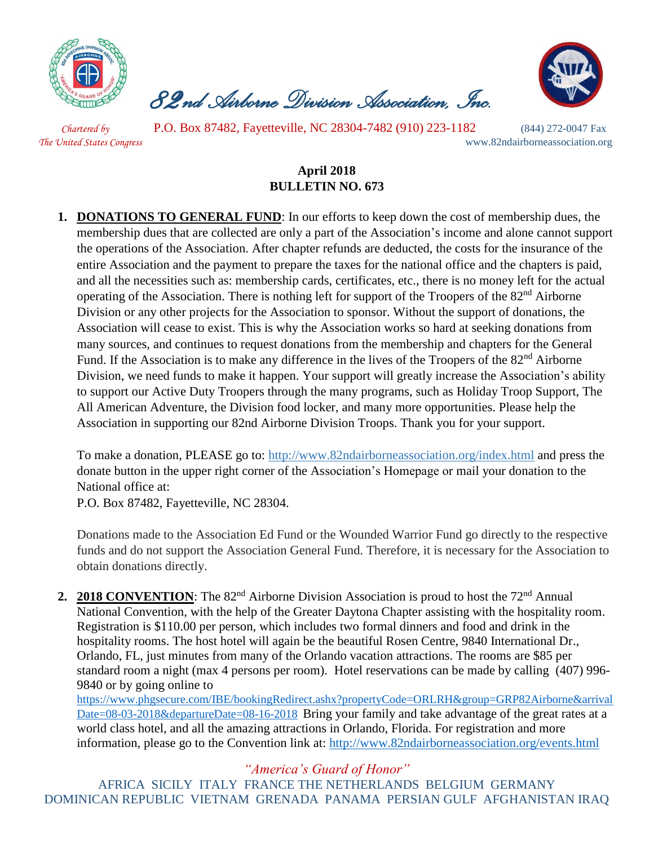

 *82nd Airborne Division Association, Inc.* 



 *Chartered by* P.O. Box 87482, Fayetteville, NC 28304-7482 (910) 223-1182 (844) 272-0047 Fax *The United States Congress* www.82ndairborneassociation.org

## **April 2018 BULLETIN NO. 673**

**1. DONATIONS TO GENERAL FUND**: In our efforts to keep down the cost of membership dues, the membership dues that are collected are only a part of the Association's income and alone cannot support the operations of the Association. After chapter refunds are deducted, the costs for the insurance of the entire Association and the payment to prepare the taxes for the national office and the chapters is paid, and all the necessities such as: membership cards, certificates, etc., there is no money left for the actual operating of the Association. There is nothing left for support of the Troopers of the 82<sup>nd</sup> Airborne Division or any other projects for the Association to sponsor. Without the support of donations, the Association will cease to exist. This is why the Association works so hard at seeking donations from many sources, and continues to request donations from the membership and chapters for the General Fund. If the Association is to make any difference in the lives of the Troopers of the 82<sup>nd</sup> Airborne Division, we need funds to make it happen. Your support will greatly increase the Association's ability to support our Active Duty Troopers through the many programs, such as Holiday Troop Support, The All American Adventure, the Division food locker, and many more opportunities. Please help the Association in supporting our 82nd Airborne Division Troops. Thank you for your support.

To make a donation, PLEASE go to:<http://www.82ndairborneassociation.org/index.html> and press the donate button in the upper right corner of the Association's Homepage or mail your donation to the National office at:

P.O. Box 87482, Fayetteville, NC 28304.

Donations made to the Association Ed Fund or the Wounded Warrior Fund go directly to the respective funds and do not support the Association General Fund. Therefore, it is necessary for the Association to obtain donations directly.

2. **2018 CONVENTION**: The 82<sup>nd</sup> Airborne Division Association is proud to host the 72<sup>nd</sup> Annual National Convention, with the help of the Greater Daytona Chapter assisting with the hospitality room. Registration is \$110.00 per person, which includes two formal dinners and food and drink in the hospitality rooms. The host hotel will again be the beautiful Rosen Centre, 9840 International Dr., Orlando, FL, just minutes from many of the Orlando vacation attractions. The rooms are \$85 per standard room a night (max 4 persons per room). Hotel reservations can be made by calling (407) 996- 9840 or by going online t[o](https://linkprotect.cudasvc.com/url?a=https://www.phgsecure.com/IBE/bookingRedirect.ashx%3fpropertyCode%3dORLRH%26group%3dGRP82Airborne%26arrivalDate%3d08-03-2018%26departureDate%3d08-16-2018&c=E,1,HJtkOoO-PUZczzsVfSzwv1cNxcZEiOIYkaul51Pqvrt0mtZE9BFRRgYTPurE5U_mLWnXg2_HaS66eVRzXCgHDjvxr7tr8i3ZlU6XNH5Mc8xS&typo=1)

[https://www.phgsecure.com/IBE/bookingRedirect.ashx?propertyCode=ORLRH&group=GRP82Airborne&arrival](https://linkprotect.cudasvc.com/url?a=https://www.phgsecure.com/IBE/bookingRedirect.ashx%3fpropertyCode%3dORLRH%26group%3dGRP82Airborne%26arrivalDate%3d08-03-2018%26departureDate%3d08-16-2018&c=E,1,HJtkOoO-PUZczzsVfSzwv1cNxcZEiOIYkaul51Pqvrt0mtZE9BFRRgYTPurE5U_mLWnXg2_HaS66eVRzXCgHDjvxr7tr8i3ZlU6XNH5Mc8xS&typo=1) [Date=08-03-2018&departureDate=08-16-2018](https://linkprotect.cudasvc.com/url?a=https://www.phgsecure.com/IBE/bookingRedirect.ashx%3fpropertyCode%3dORLRH%26group%3dGRP82Airborne%26arrivalDate%3d08-03-2018%26departureDate%3d08-16-2018&c=E,1,HJtkOoO-PUZczzsVfSzwv1cNxcZEiOIYkaul51Pqvrt0mtZE9BFRRgYTPurE5U_mLWnXg2_HaS66eVRzXCgHDjvxr7tr8i3ZlU6XNH5Mc8xS&typo=1) Bring your family and take advantage of the great rates at a world class hotel, and all the amazing attractions in Orlando, Florida. For registration and more information, please go to the Convention link at:<http://www.82ndairborneassociation.org/events.html>

*"America's Guard of Honor"*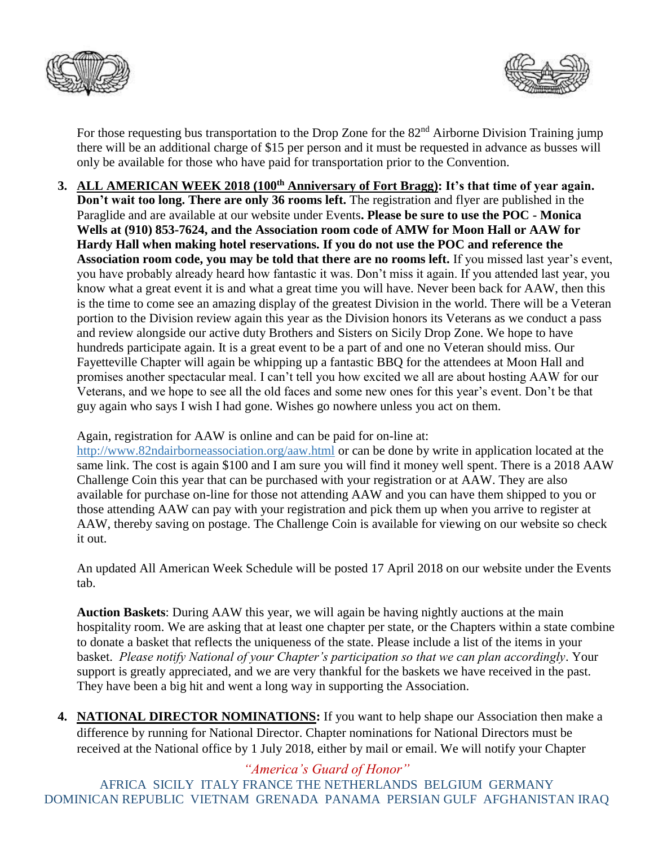



For those requesting bus transportation to the Drop Zone for the 82<sup>nd</sup> Airborne Division Training jump there will be an additional charge of \$15 per person and it must be requested in advance as busses will only be available for those who have paid for transportation prior to the Convention.

**3. ALL AMERICAN WEEK 2018 (100th Anniversary of Fort Bragg): It's that time of year again. Don't wait too long. There are only 36 rooms left.** The registration and flyer are published in the Paraglide and are available at our website under Events**. Please be sure to use the POC - Monica Wells at (910) 853-7624, and the Association room code of AMW for Moon Hall or AAW for Hardy Hall when making hotel reservations. If you do not use the POC and reference the Association room code, you may be told that there are no rooms left.** If you missed last year's event, you have probably already heard how fantastic it was. Don't miss it again. If you attended last year, you know what a great event it is and what a great time you will have. Never been back for AAW, then this is the time to come see an amazing display of the greatest Division in the world. There will be a Veteran portion to the Division review again this year as the Division honors its Veterans as we conduct a pass and review alongside our active duty Brothers and Sisters on Sicily Drop Zone. We hope to have hundreds participate again. It is a great event to be a part of and one no Veteran should miss. Our Fayetteville Chapter will again be whipping up a fantastic BBQ for the attendees at Moon Hall and promises another spectacular meal. I can't tell you how excited we all are about hosting AAW for our Veterans, and we hope to see all the old faces and some new ones for this year's event. Don't be that guy again who says I wish I had gone. Wishes go nowhere unless you act on them.

Again, registration for AAW is online and can be paid for on-line at:

<http://www.82ndairborneassociation.org/aaw.html> or can be done by write in application located at the same link. The cost is again \$100 and I am sure you will find it money well spent. There is a 2018 AAW Challenge Coin this year that can be purchased with your registration or at AAW. They are also available for purchase on-line for those not attending AAW and you can have them shipped to you or those attending AAW can pay with your registration and pick them up when you arrive to register at AAW, thereby saving on postage. The Challenge Coin is available for viewing on our website so check it out.

An updated All American Week Schedule will be posted 17 April 2018 on our website under the Events tab.

**Auction Baskets**: During AAW this year, we will again be having nightly auctions at the main hospitality room. We are asking that at least one chapter per state, or the Chapters within a state combine to donate a basket that reflects the uniqueness of the state. Please include a list of the items in your basket. *Please notify National of your Chapter's participation so that we can plan accordingly*. Your support is greatly appreciated, and we are very thankful for the baskets we have received in the past. They have been a big hit and went a long way in supporting the Association.

**4. NATIONAL DIRECTOR NOMINATIONS:** If you want to help shape our Association then make a difference by running for National Director. Chapter nominations for National Directors must be received at the National office by 1 July 2018, either by mail or email. We will notify your Chapter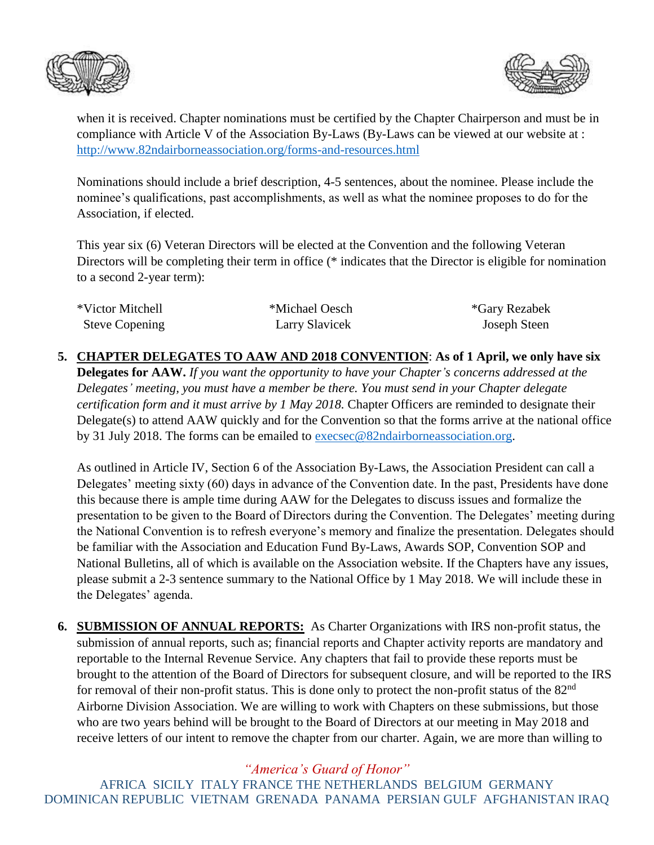



when it is received. Chapter nominations must be certified by the Chapter Chairperson and must be in compliance with Article V of the Association By-Laws (By-Laws can be viewed at our website at : <http://www.82ndairborneassociation.org/forms-and-resources.html>

Nominations should include a brief description, 4-5 sentences, about the nominee. Please include the nominee's qualifications, past accomplishments, as well as what the nominee proposes to do for the Association, if elected.

This year six (6) Veteran Directors will be elected at the Convention and the following Veteran Directors will be completing their term in office (\* indicates that the Director is eligible for nomination to a second 2-year term):

| *Victor Mitchell      | *Michael Oesch | <i>*Gary Rezabek</i> |
|-----------------------|----------------|----------------------|
| <b>Steve Copening</b> | Larry Slavicek | Joseph Steen         |

**5. CHAPTER DELEGATES TO AAW AND 2018 CONVENTION**: **As of 1 April, we only have six Delegates for AAW.** *If you want the opportunity to have your Chapter's concerns addressed at the Delegates' meeting, you must have a member be there. You must send in your Chapter delegate certification form and it must arrive by 1 May 2018.* Chapter Officers are reminded to designate their Delegate(s) to attend AAW quickly and for the Convention so that the forms arrive at the national office by 31 July 2018. The forms can be emailed to [execsec@82ndairborneassociation.org.](mailto:execsec@82ndairborneassociation.org)

As outlined in Article IV, Section 6 of the Association By-Laws, the Association President can call a Delegates' meeting sixty (60) days in advance of the Convention date. In the past, Presidents have done this because there is ample time during AAW for the Delegates to discuss issues and formalize the presentation to be given to the Board of Directors during the Convention. The Delegates' meeting during the National Convention is to refresh everyone's memory and finalize the presentation. Delegates should be familiar with the Association and Education Fund By-Laws, Awards SOP, Convention SOP and National Bulletins, all of which is available on the Association website. If the Chapters have any issues, please submit a 2-3 sentence summary to the National Office by 1 May 2018. We will include these in the Delegates' agenda.

**6. SUBMISSION OF ANNUAL REPORTS:** As Charter Organizations with IRS non-profit status, the submission of annual reports, such as; financial reports and Chapter activity reports are mandatory and reportable to the Internal Revenue Service. Any chapters that fail to provide these reports must be brought to the attention of the Board of Directors for subsequent closure, and will be reported to the IRS for removal of their non-profit status. This is done only to protect the non-profit status of the 82<sup>nd</sup> Airborne Division Association. We are willing to work with Chapters on these submissions, but those who are two years behind will be brought to the Board of Directors at our meeting in May 2018 and receive letters of our intent to remove the chapter from our charter. Again, we are more than willing to

*"America's Guard of Honor"*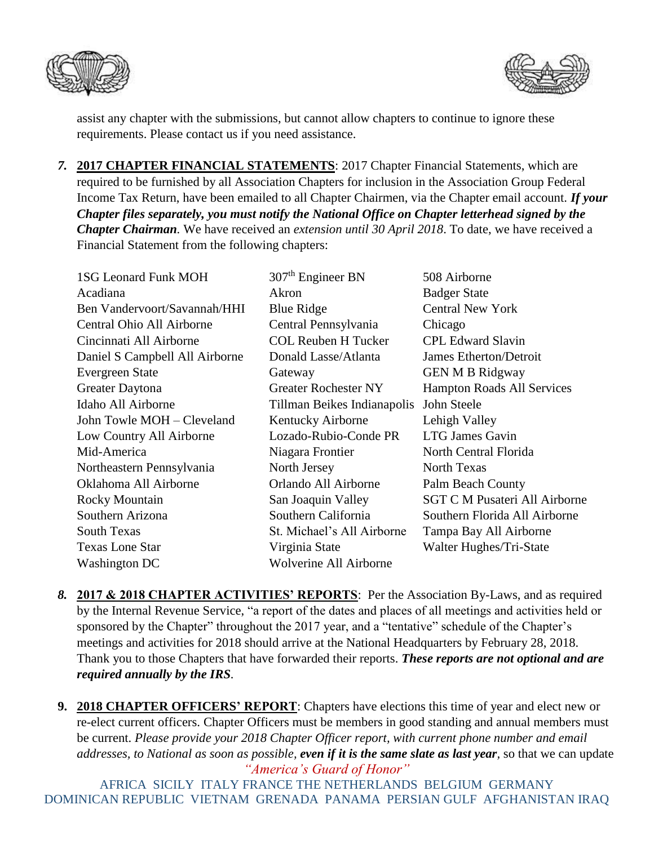



assist any chapter with the submissions, but cannot allow chapters to continue to ignore these requirements. Please contact us if you need assistance.

*7.* **2017 CHAPTER FINANCIAL STATEMENTS**: 2017 Chapter Financial Statements, which are required to be furnished by all Association Chapters for inclusion in the Association Group Federal Income Tax Return, have been emailed to all Chapter Chairmen, via the Chapter email account. *If your Chapter files separately, you must notify the National Office on Chapter letterhead signed by the Chapter Chairman.* We have received an *extension until 30 April 2018*. To date, we have received a Financial Statement from the following chapters:

| <b>1SG Leonard Funk MOH</b>    | $307th$ Engineer BN           | 508 Airborne                         |
|--------------------------------|-------------------------------|--------------------------------------|
| Acadiana                       | Akron                         | <b>Badger State</b>                  |
| Ben Vandervoort/Savannah/HHI   | <b>Blue Ridge</b>             | <b>Central New York</b>              |
| Central Ohio All Airborne      | Central Pennsylvania          | Chicago                              |
| Cincinnati All Airborne        | <b>COL Reuben H Tucker</b>    | <b>CPL Edward Slavin</b>             |
| Daniel S Campbell All Airborne | Donald Lasse/Atlanta          | James Etherton/Detroit               |
| Evergreen State                | Gateway                       | <b>GEN M B Ridgway</b>               |
| Greater Daytona                | <b>Greater Rochester NY</b>   | <b>Hampton Roads All Services</b>    |
| Idaho All Airborne             | Tillman Beikes Indianapolis   | John Steele                          |
| John Towle MOH - Cleveland     | Kentucky Airborne             | Lehigh Valley                        |
| Low Country All Airborne       | Lozado-Rubio-Conde PR         | <b>LTG James Gavin</b>               |
| Mid-America                    | Niagara Frontier              | North Central Florida                |
| Northeastern Pennsylvania      | North Jersey                  | <b>North Texas</b>                   |
| Oklahoma All Airborne          | Orlando All Airborne          | Palm Beach County                    |
| Rocky Mountain                 | San Joaquin Valley            | <b>SGT C M Pusateri All Airborne</b> |
| Southern Arizona               | Southern California           | Southern Florida All Airborne        |
| <b>South Texas</b>             | St. Michael's All Airborne    | Tampa Bay All Airborne               |
| <b>Texas Lone Star</b>         | Virginia State                | Walter Hughes/Tri-State              |
| Washington DC                  | <b>Wolverine All Airborne</b> |                                      |

*8.* **2017 & 2018 CHAPTER ACTIVITIES' REPORTS**: Per the Association By-Laws, and as required by the Internal Revenue Service, "a report of the dates and places of all meetings and activities held or sponsored by the Chapter" throughout the 2017 year, and a "tentative" schedule of the Chapter's meetings and activities for 2018 should arrive at the National Headquarters by February 28, 2018. Thank you to those Chapters that have forwarded their reports. *These reports are not optional and are required annually by the IRS.*

*"America's Guard of Honor"* **9. 2018 CHAPTER OFFICERS' REPORT**: Chapters have elections this time of year and elect new or re-elect current officers. Chapter Officers must be members in good standing and annual members must be current. *Please provide your 2018 Chapter Officer report, with current phone number and email addresses, to National as soon as possible, even if it is the same slate as last year,* so that we can update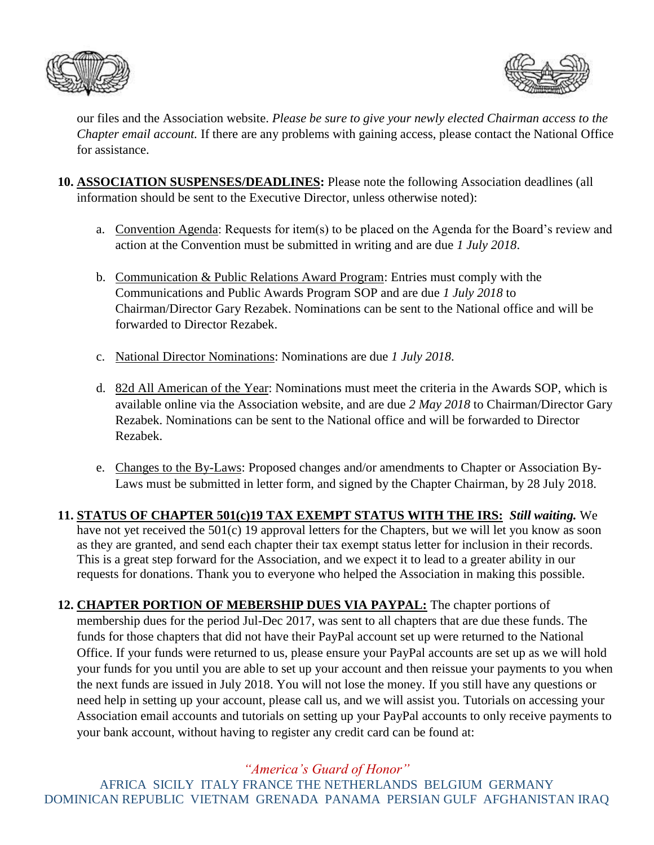



our files and the Association website. *Please be sure to give your newly elected Chairman access to the Chapter email account.* If there are any problems with gaining access, please contact the National Office for assistance.

- **10. ASSOCIATION SUSPENSES/DEADLINES:** Please note the following Association deadlines (all information should be sent to the Executive Director, unless otherwise noted):
	- a. Convention Agenda: Requests for item(s) to be placed on the Agenda for the Board's review and action at the Convention must be submitted in writing and are due *1 July 2018*.
	- b. Communication & Public Relations Award Program: Entries must comply with the Communications and Public Awards Program SOP and are due *1 July 2018* to Chairman/Director Gary Rezabek. Nominations can be sent to the National office and will be forwarded to Director Rezabek.
	- c. National Director Nominations: Nominations are due *1 July 2018*.
	- d. 82d All American of the Year: Nominations must meet the criteria in the Awards SOP, which is available online via the Association website, and are due *2 May 2018* to Chairman/Director Gary Rezabek. Nominations can be sent to the National office and will be forwarded to Director Rezabek.
	- e. Changes to the By-Laws: Proposed changes and/or amendments to Chapter or Association By-Laws must be submitted in letter form, and signed by the Chapter Chairman, by 28 July 2018.

**11. STATUS OF CHAPTER 501(c)19 TAX EXEMPT STATUS WITH THE IRS:** *Still waiting.* We have not yet received the 501(c) 19 approval letters for the Chapters, but we will let you know as soon as they are granted, and send each chapter their tax exempt status letter for inclusion in their records. This is a great step forward for the Association, and we expect it to lead to a greater ability in our requests for donations. Thank you to everyone who helped the Association in making this possible.

**12. CHAPTER PORTION OF MEBERSHIP DUES VIA PAYPAL:** The chapter portions of membership dues for the period Jul-Dec 2017, was sent to all chapters that are due these funds. The funds for those chapters that did not have their PayPal account set up were returned to the National Office. If your funds were returned to us, please ensure your PayPal accounts are set up as we will hold your funds for you until you are able to set up your account and then reissue your payments to you when the next funds are issued in July 2018. You will not lose the money. If you still have any questions or need help in setting up your account, please call us, and we will assist you. Tutorials on accessing your Association email accounts and tutorials on setting up your PayPal accounts to only receive payments to your bank account, without having to register any credit card can be found at:

*"America's Guard of Honor"*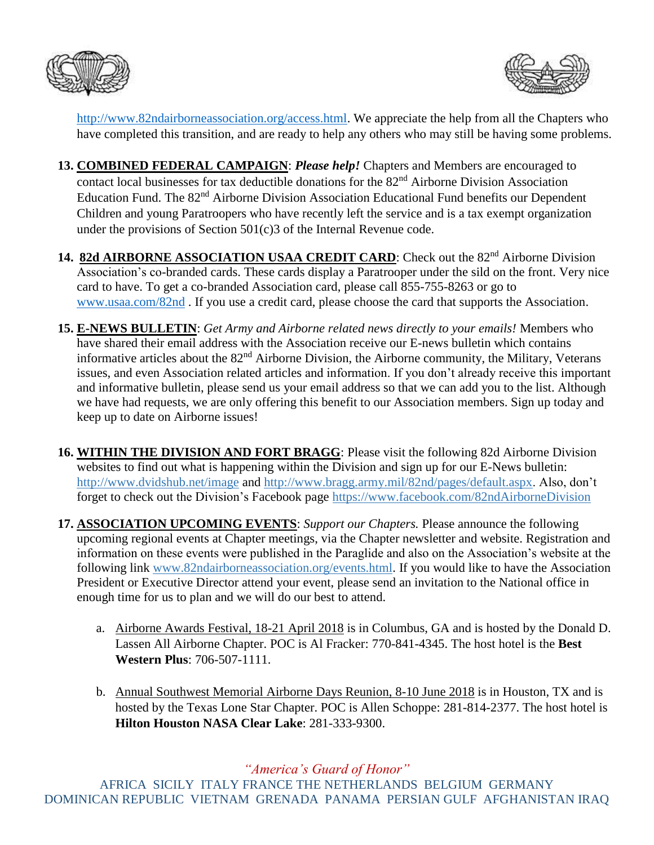



[http://www.82ndairborneassociation.org/access.html.](http://www.82ndairborneassociation.org/access.html) We appreciate the help from all the Chapters who have completed this transition, and are ready to help any others who may still be having some problems.

- **13. COMBINED FEDERAL CAMPAIGN**: *Please help!* Chapters and Members are encouraged to contact local businesses for tax deductible donations for the 82<sup>nd</sup> Airborne Division Association Education Fund. The 82<sup>nd</sup> Airborne Division Association Educational Fund benefits our Dependent Children and young Paratroopers who have recently left the service and is a tax exempt organization under the provisions of Section 501(c)3 of the Internal Revenue code.
- 14. **82d AIRBORNE ASSOCIATION USAA CREDIT CARD**: Check out the 82<sup>nd</sup> Airborne Division Association's co-branded cards. These cards display a Paratrooper under the sild on the front. Very nice card to have. To get a co-branded Association card, please call 855-755-8263 or go to [www.usaa.com/82nd](http://www.usaa.com/82nd) . If you use a credit card, please choose the card that supports the Association.
- **15. E-NEWS BULLETIN**: *Get Army and Airborne related news directly to your emails!* Members who have shared their email address with the Association receive our E-news bulletin which contains informative articles about the 82nd Airborne Division, the Airborne community, the Military, Veterans issues, and even Association related articles and information. If you don't already receive this important and informative bulletin, please send us your email address so that we can add you to the list. Although we have had requests, we are only offering this benefit to our Association members. Sign up today and keep up to date on Airborne issues!
- **16. WITHIN THE DIVISION AND FORT BRAGG**: Please visit the following 82d Airborne Division websites to find out what is happening within the Division and sign up for our E-News bulletin: <http://www.dvidshub.net/image> and [http://www.bragg.army.mil/82nd/pages/default.aspx.](http://www.bragg.army.mil/82ND/Pages/default.aspx) Also, don't forget to check out the Division's Facebook page<https://www.facebook.com/82ndAirborneDivision>
- **17. ASSOCIATION UPCOMING EVENTS**: *Support our Chapters.* Please announce the following upcoming regional events at Chapter meetings, via the Chapter newsletter and website. Registration and information on these events were published in the Paraglide and also on the Association's website at the following link [www.82ndairborneassociation.org/events.html.](http://www.82ndairborneassociation.org/events.html) If you would like to have the Association President or Executive Director attend your event, please send an invitation to the National office in enough time for us to plan and we will do our best to attend.
	- a. Airborne Awards Festival, 18-21 April 2018 is in Columbus, GA and is hosted by the Donald D. Lassen All Airborne Chapter. POC is Al Fracker: 770-841-4345. The host hotel is the **Best Western Plus**: 706-507-1111.
	- b. Annual Southwest Memorial Airborne Days Reunion, 8-10 June 2018 is in Houston, TX and is hosted by the Texas Lone Star Chapter. POC is Allen Schoppe: 281-814-2377. The host hotel is **Hilton Houston NASA Clear Lake**: 281-333-9300.

*"America's Guard of Honor"*